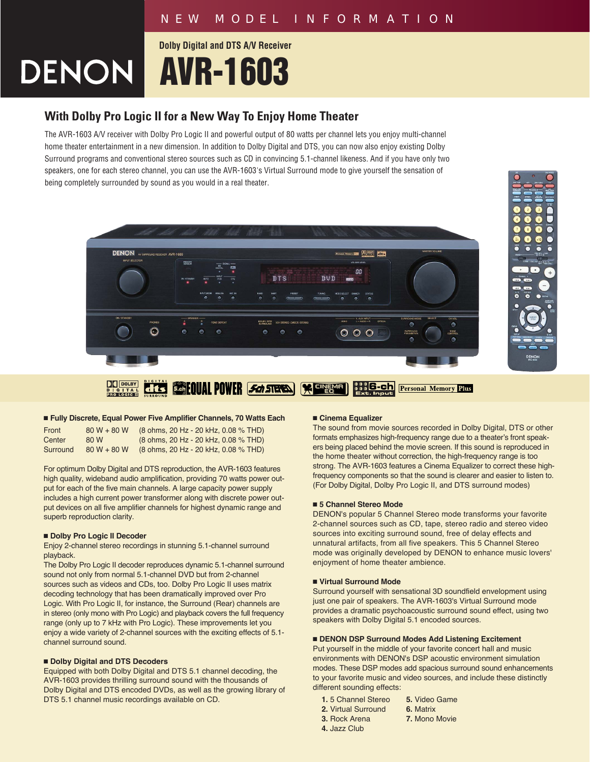**AVR-1603 Dolby Digital and DTS A/V Receiver**

# **With Dolby Pro Logic II for a New Way To Enjoy Home Theater**

The AVR-1603 A/V receiver with Dolby Pro Logic II and powerful output of 80 watts per channel lets you enjoy multi-channel home theater entertainment in a new dimension. In addition to Dolby Digital and DTS, you can now also enjoy existing Dolby Surround programs and conventional stereo sources such as CD in convincing 5.1-channel likeness. And if you have only two speakers, one for each stereo channel, you can use the AVR-1603's Virtual Surround mode to give yourself the sensation of being completely surrounded by sound as you would in a real theater.





# ■ **Fully Discrete, Equal Power Five Amplifier Channels, 70 Watts Each**

| Front    | $80 W + 80 W$ | (8 ohms, 20 Hz - 20 kHz, 0.08 % THD) |
|----------|---------------|--------------------------------------|
| Center   | 80 W          | (8 ohms, 20 Hz - 20 kHz, 0.08 % THD) |
| Surround | $80 W + 80 W$ | (8 ohms, 20 Hz - 20 kHz, 0.08 % THD) |

For optimum Dolby Digital and DTS reproduction, the AVR-1603 features high quality, wideband audio amplification, providing 70 watts power output for each of the five main channels. A large capacity power supply includes a high current power transformer along with discrete power output devices on all five amplifier channels for highest dynamic range and superb reproduction clarity.

# ■ **Dolby Pro Logic II Decoder**

Enjoy 2-channel stereo recordings in stunning 5.1-channel surround playback.

The Dolby Pro Logic II decoder reproduces dynamic 5.1-channel surround sound not only from normal 5.1-channel DVD but from 2-channel sources such as videos and CDs, too. Dolby Pro Logic II uses matrix decoding technology that has been dramatically improved over Pro Logic. With Pro Logic II, for instance, the Surround (Rear) channels are in stereo (only mono with Pro Logic) and playback covers the full frequency range (only up to 7 kHz with Pro Logic). These improvements let you enjoy a wide variety of 2-channel sources with the exciting effects of 5.1 channel surround sound.

# ■ **Dolby Digital and DTS Decoders**

Equipped with both Dolby Digital and DTS 5.1 channel decoding, the AVR-1603 provides thrilling surround sound with the thousands of Dolby Digital and DTS encoded DVDs, as well as the growing library of DTS 5.1 channel music recordings available on CD.

#### ■ **Cinema Equalizer**

The sound from movie sources recorded in Dolby Digital, DTS or other formats emphasizes high-frequency range due to a theater's front speakers being placed behind the movie screen. If this sound is reproduced in the home theater without correction, the high-frequency range is too strong. The AVR-1603 features a Cinema Equalizer to correct these highfrequency components so that the sound is clearer and easier to listen to. (For Dolby Digital, Dolby Pro Logic II, and DTS surround modes)

# ■ 5 Channel Stereo Mode

DENON's popular 5 Channel Stereo mode transforms your favorite 2-channel sources such as CD, tape, stereo radio and stereo video sources into exciting surround sound, free of delay effects and unnatural artifacts, from all five speakers. This 5 Channel Stereo mode was originally developed by DENON to enhance music lovers' enjoyment of home theater ambience.

#### ■ **Virtual Surround Mode**

Surround yourself with sensational 3D soundfield envelopment using just one pair of speakers. The AVR-1603's Virtual Surround mode provides a dramatic psychoacoustic surround sound effect, using two speakers with Dolby Digital 5.1 encoded sources.

#### ■ **DENON DSP Surround Modes Add Listening Excitement**

Put yourself in the middle of your favorite concert hall and music environments with DENON's DSP acoustic environment simulation modes. These DSP modes add spacious surround sound enhancements to your favorite music and video sources, and include these distinctly different sounding effects:

- **1.** 5 Channel Stereo **5.** Video Game
- **2.** Virtual Surround **6. Matrix**<br>**3.** Rock Arena **7.** Monol
	-
- **4.** Jazz Club
- **7. Mono Movie**